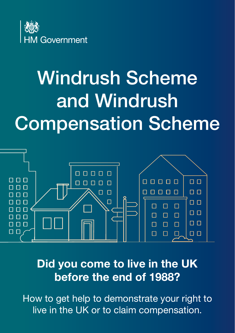

# Windrush Scheme and Windrush Compensation Scheme



Did you come to live in the UK before the end of 1988?

How to get help to demonstrate your right to live in the UK or to claim compensation.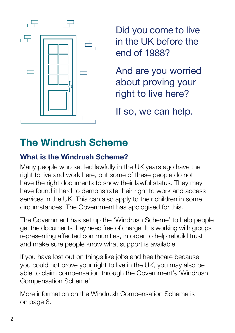

Did you come to live in the UK before the end of 1988?

And are you worried about proving your right to live here?

If so, we can help.

# The Windrush Scheme

### What is the Windrush Scheme?

Many people who settled lawfully in the UK years ago have the right to live and work here, but some of these people do not have the right documents to show their lawful status. They may have found it hard to demonstrate their right to work and access services in the UK. This can also apply to their children in some circumstances. The Government has apologised for this.

The Government has set up the 'Windrush Scheme' to help people get the documents they need free of charge. It is working with groups representing affected communities, in order to help rebuild trust and make sure people know what support is available.

If you have lost out on things like jobs and healthcare because you could not prove your right to live in the UK, you may also be able to claim compensation through the Government's 'Windrush Compensation Scheme'.

More information on the Windrush Compensation Scheme is on page 8.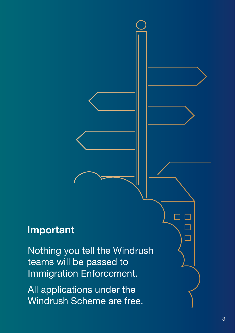# Important

Nothing you tell the Windrush teams will be passed to Immigration Enforcement.

All applications under the Windrush Scheme are free.  $\Box$  $\Box$ 

 $\Box$  $\Box$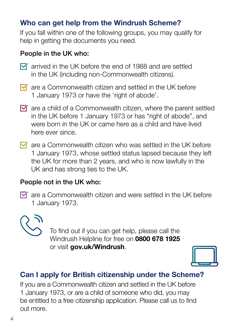### Who can get help from the Windrush Scheme?

If you fall within one of the following groups, you may qualify for help in getting the documents you need.

### People in the UK who:

- $\overline{M}$  arrived in the UK before the end of 1988 and are settled in the UK (including non-Commonwealth citizens).
- $\overline{M}$  are a Commonwealth citizen and settled in the UK before 1 January 1973 or have the 'right of abode'.
- $\triangledown$  are a child of a Commonwealth citizen, where the parent settled in the UK before 1 January 1973 or has "right of abode", and were born in the UK or came here as a child and have lived here ever since.
- $\triangledown$  are a Commonwealth citizen who was settled in the UK before 1 January 1973, whose settled status lapsed because they left the UK for more than 2 years, and who is now lawfully in the UK and has strong ties to the UK.

### People not in the UK who:

 $\overline{M}$  are a Commonwealth citizen and were settled in the UK before 1 January 1973.



To find out if you can get help, please call the Windrush Helpline for free on 0800 678 1925 or visit gov.uk/Windrush.



### Can I apply for British citizenship under the Scheme?

If you are a Commonwealth citizen and settled in the UK before 1 January 1973, or are a child of someone who did, you may be entitled to a free citizenship application. Please call us to find out more.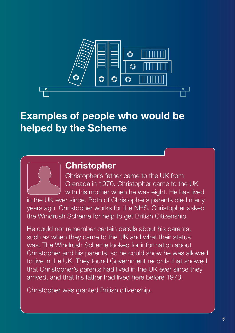

# Examples of people who would be helped by the Scheme

### **Christopher**

Christopher's father came to the UK from Grenada in 1970. Christopher came to the UK with his mother when he was eight. He has lived

in the UK ever since. Both of Christopher's parents died many years ago. Christopher works for the NHS. Christopher asked the Windrush Scheme for help to get British Citizenship.

He could not remember certain details about his parents, such as when they came to the UK and what their status was. The Windrush Scheme looked for information about Christopher and his parents, so he could show he was allowed to live in the UK. They found Government records that showed that Christopher's parents had lived in the UK ever since they arrived, and that his father had lived here before 1973.

Christopher was granted British citizenship.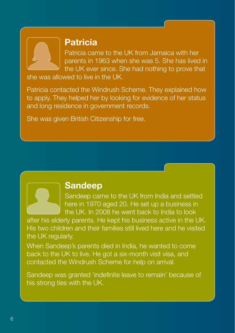

### Patricia

Patricia came to the UK from Jamaica with her parents in 1963 when she was 5. She has lived in the UK ever since. She had nothing to prove that

she was allowed to live in the UK.

Patricia contacted the Windrush Scheme. They explained how to apply. They helped her by looking for evidence of her status and long residence in government records.

She was given British Citizenship for free.



### Sandeep

Sandeep came to the UK from India and settled here in 1970 aged 20. He set up a business in the UK. In 2008 he went back to India to look

after his elderly parents. He kept his business active in the UK. His two children and their families still lived here and he visited the UK regularly.

When Sandeep's parents died in India, he wanted to come back to the UK to live. He got a six-month visit visa, and contacted the Windrush Scheme for help on arrival.

Sandeep was granted 'indefinite leave to remain' because of his strong ties with the UK.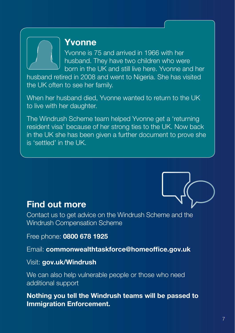### Yvonne

Yvonne is 75 and arrived in 1966 with her husband. They have two children who were born in the UK and still live here. Yvonne and her

husband retired in 2008 and went to Nigeria. She has visited the UK often to see her family.

When her husband died, Yvonne wanted to return to the UK to live with her daughter.

The Windrush Scheme team helped Yvonne get a 'returning resident visa' because of her strong ties to the UK. Now back in the UK she has been given a further document to prove she is 'settled' in the UK.



### Find out more

Contact us to get advice on the Windrush Scheme and the Windrush Compensation Scheme

Free phone: 0800 678 1925

Email: commonwealthtaskforce@homeoffice.gov.uk

Visit: gov.uk/Windrush

We can also help vulnerable people or those who need additional support

Nothing you tell the Windrush teams will be passed to Immigration Enforcement.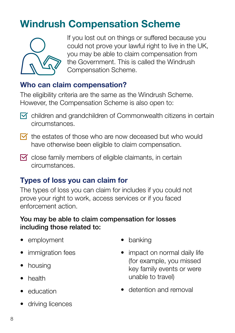# Windrush Compensation Scheme



If you lost out on things or suffered because you could not prove your lawful right to live in the UK, you may be able to claim compensation from the Government. This is called the Windrush Compensation Scheme.

### Who can claim compensation?

The eligibility criteria are the same as the Windrush Scheme. However, the Compensation Scheme is also open to:

- $\triangledown$  children and grandchildren of Commonwealth citizens in certain circumstances.
- $\overline{M}$  the estates of those who are now deceased but who would have otherwise been eligible to claim compensation.
- $\triangledown$  close family members of eligible claimants, in certain circumstances.

### Types of loss you can claim for

The types of loss you can claim for includes if you could not prove your right to work, access services or if you faced enforcement action.

### You may be able to claim compensation for losses including those related to:

- employment
- immigration fees
- housing
- health
- education
- driving licences
- banking
- impact on normal daily life (for example, you missed key family events or were unable to travel)
- detention and removal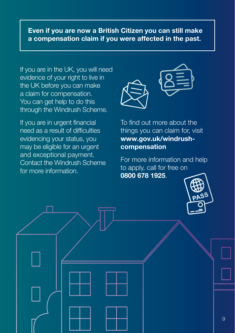### Even if you are now a British Citizen you can still make a compensation claim if you were affected in the past.

If you are in the UK, you will need evidence of your right to live in the UK before you can make a claim for compensation. You can get help to do this through the Windrush Scheme.

If you are in urgent financial need as a result of difficulties evidencing your status, you may be eligible for an urgent and exceptional payment. Contact the Windrush Scheme for more information.



To find out more about the things you can claim for, visit www.gov.uk/windrushcompensation

For more information and help to apply, call for free on 0800 678 1925.

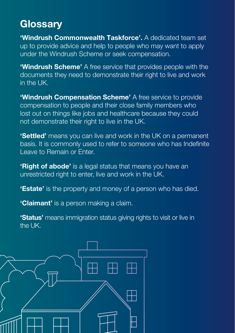# **Glossarv**

'Windrush Commonwealth Taskforce'. A dedicated team set up to provide advice and help to people who may want to apply under the Windrush Scheme or seek compensation.

**'Windrush Scheme'** A free service that provides people with the documents they need to demonstrate their right to live and work in the UK.

**'Windrush Compensation Scheme'** A free service to provide compensation to people and their close family members who lost out on things like jobs and healthcare because they could not demonstrate their right to live in the UK.

'Settled' means you can live and work in the UK on a permanent basis. It is commonly used to refer to someone who has Indefinite Leave to Remain or Enter.

'Right of abode' is a legal status that means you have an unrestricted right to enter, live and work in the UK.

**'Estate'** is the property and money of a person who has died.

**'Claimant'** is a person making a claim.

**'Status'** means immigration status giving rights to visit or live in the UK.

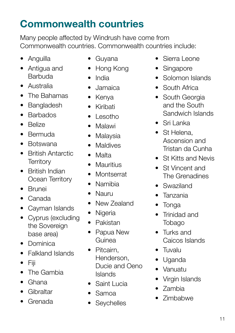# Commonwealth countries

Many people affected by Windrush have come from Commonwealth countries. Commonwealth countries include:

- Anguilla
- Antigua and **Barbuda**
- Australia
- The Bahamas
- Bangladesh
- Barbados
- Belize
- Bermuda
- Botswana
- British Antarctic **Territory**
- British Indian Ocean Territory
- Brunei
- Canada
- Cayman Islands
- Cyprus (excluding the Sovereign base area)
- Dominica
- Falkland Islands
- Fiji
- The Gambia
- Ghana
- Gibraltar
- Grenada
- Guyana
- Hong Kong
- India
- Jamaica
- Kenya
- Kiribati
- Lesotho
- Malawi
- Malaysia
- Maldives
- Malta
- Mauritius
- Montserrat
- Namibia
- Nauru
- New Zealand
- Nigeria
- Pakistan
- Papua New Guinea
- Pitcairn. Henderson, Ducie and Oeno Islands
- Saint Lucia
- Samoa
- **Seychelles**
- Sierra Leone
- **Singapore**
- Solomon Islands
- South Africa
- South Georgia and the South Sandwich Islands
- Sri Lanka
- St Helena, Ascension and Tristan da Cunha
- St Kitts and Nevis
- St Vincent and The Grenadines
- Swaziland
- Tanzania
- Tonga
- Trinidad and Tobago
- Turks and Caicos Islands
- Tuvalu
- Uganda
- Vanuatu
- Virgin Islands
- Zambia
- Zimbabwe